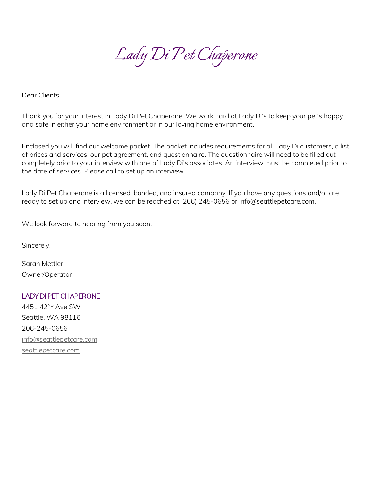

Dear Clients,

Thank you for your interest in Lady Di Pet Chaperone. We work hard at Lady Di's to keep your pet's happy and safe in either your home environment or in our loving home environment.

Enclosed you will find our welcome packet. The packet includes requirements for all Lady Di customers, a list of prices and services, our pet agreement, and questionnaire. The questionnaire will need to be filled out completely prior to your interview with one of Lady Di's associates. An interview must be completed prior to the date of services. Please call to set up an interview.

Lady Di Pet Chaperone is a licensed, bonded, and insured company. If you have any questions and/or are ready to set up and interview, we can be reached at (206) 245-0656 or info@seattlepetcare.com.

We look forward to hearing from you soon.

Sincerely,

Sarah Mettler Owner/Operator

# LADY DI PET CHAPERONE

4451 42ND Ave SW Seattle, WA 98116 206-245-0656 [info@seattlepetcare.com](mailto:info@seattlepetcare.com) [seattlepetcare.com](https://seattlepetcare.com/)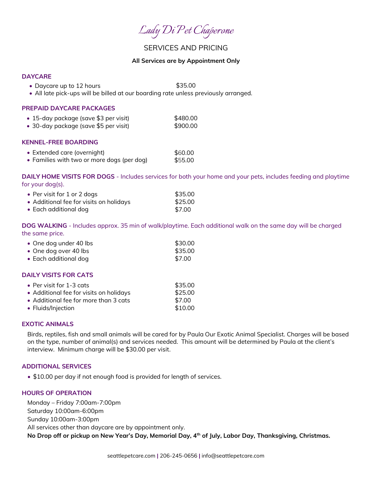*Lady Di Pet Chaperone*

# SERVICES AND PRICING

## **All Services are by Appointment Only**

# **DAYCARE**

- Daycare up to 12 hours \$35.00
- All late pick-ups will be billed at our boarding rate unless previously arranged.

### **PREPAID DAYCARE PACKAGES**

| $\bullet\,$ 15-day package (save \$3 per visit) $\,$     | \$480.00 |
|----------------------------------------------------------|----------|
| $\bullet$ 30-day package (save \$5 per visit) $^{\circ}$ | \$900.00 |

### **KENNEL-FREE BOARDING**

| • Extended care (overnight)                | \$60.00 |
|--------------------------------------------|---------|
| • Families with two or more dogs (per dog) | \$55.00 |

**DAILY HOME VISITS FOR DOGS** - Includes services for both your home and your pets, includes feeding and playtime for your dog(s).

| • Per visit for 1 or 2 dogs             | \$35.00 |
|-----------------------------------------|---------|
| • Additional fee for visits on holidays | \$25.00 |
| $\bullet$ Each additional dog           | \$7.00  |

**DOG WALKING** - Includes approx. 35 min of walk/playtime. Each additional walk on the same day will be charged the same price.

| • One dog under 40 lbs | \$30.00 |
|------------------------|---------|
| • One dog over 40 lbs  | \$35.00 |
| • Each additional dog  | \$7.00  |

## **DAILY VISITS FOR CATS**

| • Per visit for $1-3$ cats              | \$35.00 |
|-----------------------------------------|---------|
| • Additional fee for visits on holidays | \$25.00 |
| • Additional fee for more than 3 cats   | \$7.00  |
| • Fluids/Injection                      | \$10.00 |

## **EXOTIC ANIMALS**

Birds, reptiles, fish and small animals will be cared for by Paula Our Exotic Animal Specialist. Charges will be based on the type, number of animal(s) and services needed. This amount will be determined by Paula at the client's interview. Minimum charge will be \$30.00 per visit.

#### **ADDITIONAL SERVICES**

• \$10.00 per day if not enough food is provided for length of services.

### **HOURS OF OPERATION**

Monday – Friday 7:00am-7:00pm Saturday 10:00am-6:00pm Sunday 10:00am-3:00pm All services other than daycare are by appointment only. **No Drop off or pickup on New Year's Day, Memorial Day, 4th of July, Labor Day, Thanksgiving, Christmas.**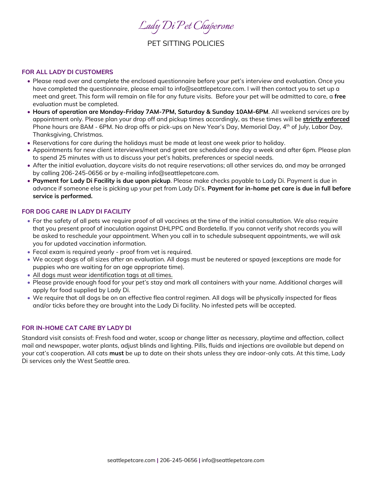*Lady Di Pet Chaperone*

# PET SITTING POLICIES

## **FOR ALL LADY DI CUSTOMERS**

- Please read over and complete the enclosed questionnaire before your pet's interview and evaluation. Once you have completed the questionnaire, please email to info@seattlepetcare.com. I will then contact you to set up a meet and greet. This form will remain on file for any future visits. Before your pet will be admitted to care, a **free** evaluation must be completed.
- **Hours of operation are Monday-Friday 7AM-7PM, Saturday & Sunday 10AM-6PM**. All weekend services are by appointment only. Please plan your drop off and pickup times accordingly, as these times will be **strictly enforced** Phone hours are 8AM - 6PM. No drop offs or pick-ups on New Year's Day, Memorial Day, 4th of July, Labor Day, Thanksgiving, Christmas.
- Reservations for care during the holidays must be made at least one week prior to holiday.
- Appointments for new client interviews/meet and greet are scheduled one day a week and after 6pm. Please plan to spend 25 minutes with us to discuss your pet's habits, preferences or special needs.
- After the initial evaluation, daycare visits do not require reservations; all other services do, and may be arranged by calling 206-245-0656 or by e-mailing info@seattlepetcare.com.
- **Payment for Lady Di Facility is due upon pickup**. Please make checks payable to Lady Di. Payment is due in advance if someone else is picking up your pet from Lady Di's. **Payment for in-home pet care is due in full before service is performed.**

## **FOR DOG CARE IN LADY DI FACILITY**

- For the safety of all pets we require proof of all vaccines at the time of the initial consultation. We also require that you present proof of inoculation against DHLPPC and Bordetella. If you cannot verify shot records you will be asked to reschedule your appointment. When you call in to schedule subsequent appointments, we will ask you for updated vaccination information.
- Fecal exam is required yearly proof from vet is required.
- We accept dogs of all sizes after an evaluation. All dogs must be neutered or spayed (exceptions are made for puppies who are waiting for an age appropriate time).
- All dogs must wear identification tags at all times.
- Please provide enough food for your pet's stay and mark all containers with your name. Additional charges will apply for food supplied by Lady Di.
- We require that all dogs be on an effective flea control regimen. All dogs will be physically inspected for fleas and/or ticks before they are brought into the Lady Di facility. No infested pets will be accepted.

## **FOR IN-HOME CAT CARE BY LADY DI**

Standard visit consists of: Fresh food and water, scoop or change litter as necessary, playtime and affection, collect mail and newspaper, water plants, adjust blinds and lighting. Pills, fluids and injections are available but depend on your cat's cooperation. All cats **must** be up to date on their shots unless they are indoor-only cats. At this time, Lady Di services only the West Seattle area.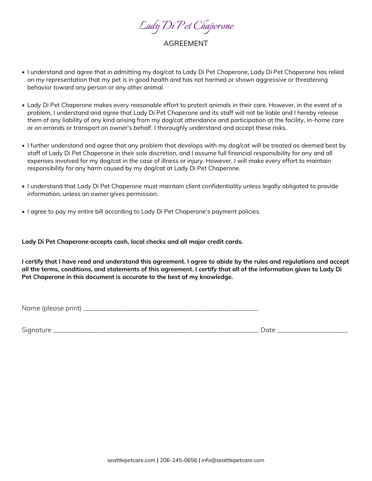

# AGREEMENT

- I understand and agree that in admitting my dog/cat to Lady Di Pet Chaperone, Lady Di Pet Chaperone has relied on my representation that my pet is in good health and has not harmed or shown aggressive or threatening behavior toward any person or any other animal.
- Lady Di Pet Chaperone makes every reasonable effort to protect animals in their care. However, in the event of a problem, I understand and agree that Lady Di Pet Chaperone and its staff will not be liable and I hereby release them of any liability of any kind arising from my dog/cat attendance and participation at the facility, in-home care or on errands or transport on owner's behalf. I thoroughly understand and accept these risks.
- I further understand and agree that any problem that develops with my dog/cat will be treated as deemed best by staff of Lady Di Pet Chaperone in their sole discretion, and I assume full financial responsibility for any and all expenses involved for my dog/cat in the case of illness or injury. However, I will make every effort to maintain responsibility for any harm caused by my dog/cat at Lady Di Pet Chaperone.
- I understand that Lady Di Pet Chaperone must maintain client confidentiality unless legally obligated to provide information, unless an owner gives permission.
- I agree to pay my entire bill according to Lady Di Pet Chaperone's payment policies.

**Lady Di Pet Chaperone accepts cash, local checks and all major credit cards.**

**I certify that I have read and understand this agreement. I agree to abide by the rules and regulations and accept all the terms, conditions, and statements of this agreement. I certify that all of the information given to Lady Di Pet Chaperone in this document is accurate to the best of my knowledge.**

Name (please print) \_\_\_\_\_\_\_\_\_\_\_\_\_\_\_\_\_\_\_\_\_\_\_\_\_\_\_\_\_\_\_\_\_\_\_\_\_\_\_\_\_\_\_\_\_\_\_\_\_\_\_\_

Signature \_\_\_\_\_\_\_\_\_\_\_\_\_\_\_\_\_\_\_\_\_\_\_\_\_\_\_\_\_\_\_\_\_\_\_\_\_\_\_\_\_\_\_\_\_\_\_\_\_\_\_\_\_\_\_\_\_\_\_\_\_ Date \_\_\_\_\_\_\_\_\_\_\_\_\_\_\_\_\_\_\_\_\_